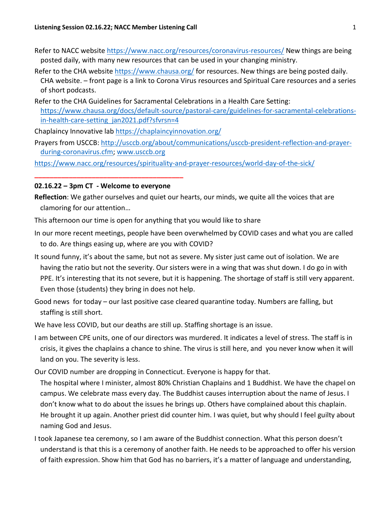- Refer to NACC website<https://www.nacc.org/resources/coronavirus-resources/> New things are being posted daily, with many new resources that can be used in your changing ministry.
- Refer to the CHA websit[e https://www.chausa.org/](https://www.chausa.org/) for resources. New things are being posted daily. CHA website. – front page is a link to Corona Virus resources and Spiritual Care resources and a series of short podcasts.
- Refer to the CHA Guidelines for Sacramental Celebrations in a Health Care Setting: [https://www.chausa.org/docs/default-source/pastoral-care/guidelines-for-sacramental-celebrations](https://www.chausa.org/docs/default-source/pastoral-care/guidelines-for-sacramental-celebrations-in-health-care-setting_jan2021.pdf?sfvrsn=4)in-health-care-setting jan2021.pdf?sfvrsn=4

Chaplaincy Innovative lab<https://chaplaincyinnovation.org/>

Prayers from USCCB: [http://usccb.org/about/communications/usccb-president-reflection-and-prayer](http://usccb.org/about/communications/usccb-president-reflection-and-prayer-during-coronavirus.cfm)[during-coronavirus.cfm;](http://usccb.org/about/communications/usccb-president-reflection-and-prayer-during-coronavirus.cfm) [www.usccb.org](http://www.usccb.org/)

<https://www.nacc.org/resources/spirituality-and-prayer-resources/world-day-of-the-sick/>

## **02.16.22 – 3pm CT - Welcome to everyone**

**\_\_\_\_\_\_\_\_\_\_\_\_\_\_\_\_\_\_\_\_\_\_\_\_\_\_\_\_\_\_\_\_\_\_\_\_\_\_\_**

- **Reflection**: We gather ourselves and quiet our hearts, our minds, we quite all the voices that are clamoring for our attention…
- This afternoon our time is open for anything that you would like to share
- In our more recent meetings, people have been overwhelmed by COVID cases and what you are called to do. Are things easing up, where are you with COVID?
- It sound funny, it's about the same, but not as severe. My sister just came out of isolation. We are having the ratio but not the severity. Our sisters were in a wing that was shut down. I do go in with PPE. It's interesting that its not severe, but it is happening. The shortage of staff is still very apparent. Even those (students) they bring in does not help.
- Good news for today our last positive case cleared quarantine today. Numbers are falling, but staffing is still short.
- We have less COVID, but our deaths are still up. Staffing shortage is an issue.
- I am between CPE units, one of our directors was murdered. It indicates a level of stress. The staff is in crisis, it gives the chaplains a chance to shine. The virus is still here, and you never know when it will land on you. The severity is less.
- Our COVID number are dropping in Connecticut. Everyone is happy for that.
- The hospital where I minister, almost 80% Christian Chaplains and 1 Buddhist. We have the chapel on campus. We celebrate mass every day. The Buddhist causes interruption about the name of Jesus. I don't know what to do about the issues he brings up. Others have complained about this chaplain. He brought it up again. Another priest did counter him. I was quiet, but why should I feel guilty about naming God and Jesus.
- I took Japanese tea ceremony, so I am aware of the Buddhist connection. What this person doesn't understand is that this is a ceremony of another faith. He needs to be approached to offer his version of faith expression. Show him that God has no barriers, it's a matter of language and understanding,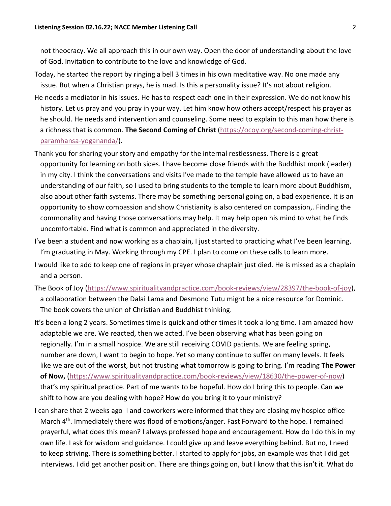not theocracy. We all approach this in our own way. Open the door of understanding about the love of God. Invitation to contribute to the love and knowledge of God.

- Today, he started the report by ringing a bell 3 times in his own meditative way. No one made any issue. But when a Christian prays, he is mad. Is this a personality issue? It's not about religion.
- He needs a mediator in his issues. He has to respect each one in their expression. We do not know his history. Let us pray and you pray in your way. Let him know how others accept/respect his prayer as he should. He needs and intervention and counseling. Some need to explain to this man how there is a richness that is common. **The Second Coming of Christ** [\(https://ocoy.org/second-coming-christ](https://ocoy.org/second-coming-christ-paramhansa-yogananda/)[paramhansa-yogananda/\)](https://ocoy.org/second-coming-christ-paramhansa-yogananda/).
- Thank you for sharing your story and empathy for the internal restlessness. There is a great opportunity for learning on both sides. I have become close friends with the Buddhist monk (leader) in my city. I think the conversations and visits I've made to the temple have allowed us to have an understanding of our faith, so I used to bring students to the temple to learn more about Buddhism, also about other faith systems. There may be something personal going on, a bad experience. It is an opportunity to show compassion and show Christianity is also centered on compassion,. Finding the commonality and having those conversations may help. It may help open his mind to what he finds uncomfortable. Find what is common and appreciated in the diversity.
- I've been a student and now working as a chaplain, I just started to practicing what I've been learning. I'm graduating in May. Working through my CPE. I plan to come on these calls to learn more.
- I would like to add to keep one of regions in prayer whose chaplain just died. He is missed as a chaplain and a person.
- The Book of Joy [\(https://www.spiritualityandpractice.com/book-reviews/view/28397/the-book-of-joy\)](https://www.spiritualityandpractice.com/book-reviews/view/28397/the-book-of-joy), a collaboration between the Dalai Lama and Desmond Tutu might be a nice resource for Dominic. The book covers the union of Christian and Buddhist thinking.
- It's been a long 2 years. Sometimes time is quick and other times it took a long time. I am amazed how adaptable we are. We reacted, then we acted. I've been observing what has been going on regionally. I'm in a small hospice. We are still receiving COVID patients. We are feeling spring, number are down, I want to begin to hope. Yet so many continue to suffer on many levels. It feels like we are out of the worst, but not trusting what tomorrow is going to bring. I'm reading **The Power of Now,** [\(https://www.spiritualityandpractice.com/book-reviews/view/18630/the-power-of-now\)](https://www.spiritualityandpractice.com/book-reviews/view/18630/the-power-of-now) that's my spiritual practice. Part of me wants to be hopeful. How do I bring this to people. Can we shift to how are you dealing with hope? How do you bring it to your ministry?
- I can share that 2 weeks ago I and coworkers were informed that they are closing my hospice office March 4<sup>th</sup>. Immediately there was flood of emotions/anger. Fast Forward to the hope. I remained prayerful, what does this mean? I always professed hope and encouragement. How do I do this in my own life. I ask for wisdom and guidance. I could give up and leave everything behind. But no, I need to keep striving. There is something better. I started to apply for jobs, an example was that I did get interviews. I did get another position. There are things going on, but I know that this isn't it. What do